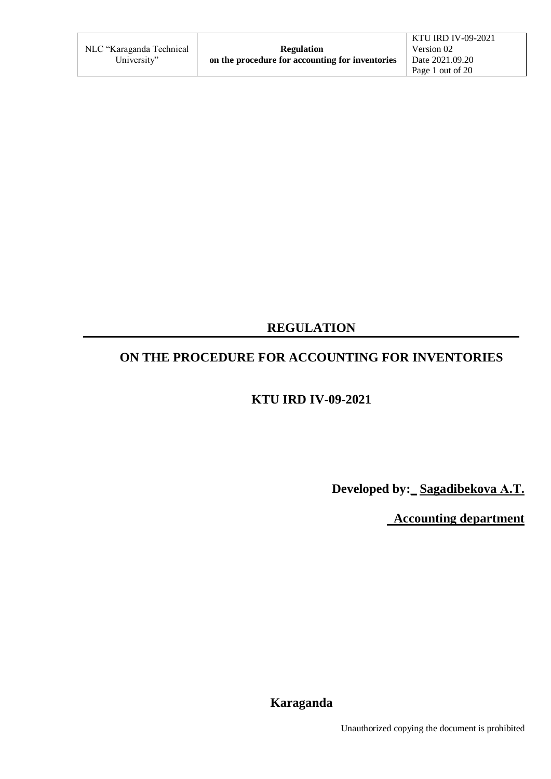|                          |                                                 | KTU IRD IV-09-2021 |
|--------------------------|-------------------------------------------------|--------------------|
| NLC "Karaganda Technical | <b>Regulation</b>                               | Version 02         |
| University"              | on the procedure for accounting for inventories | Date 2021.09.20    |
|                          |                                                 | Page 1 out of 20   |

## **REGULATION**

# **ON THE PROCEDURE FOR ACCOUNTING FOR INVENTORIES**

## **KTU IRD IV-09-2021**

**Developed by:\_ Sagadibekova А.Т.** 

 **Accounting department**

**Karaganda**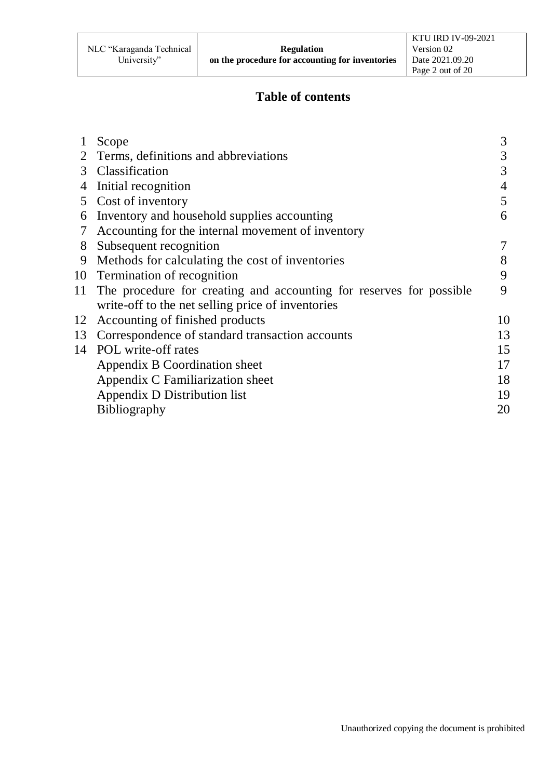### **Table of contents**

|    | Scope                                                                  | 3              |
|----|------------------------------------------------------------------------|----------------|
|    | Terms, definitions and abbreviations                                   | 3              |
| 3  | Classification                                                         | 3              |
| 4  | Initial recognition                                                    | $\overline{4}$ |
| 5  | Cost of inventory                                                      | 5              |
| 6  | Inventory and household supplies accounting                            | 6              |
| 7  | Accounting for the internal movement of inventory                      |                |
| 8  | Subsequent recognition                                                 | 7              |
| 9  | Methods for calculating the cost of inventories                        | 8              |
|    | 10 Termination of recognition                                          | 9              |
|    | 11 The procedure for creating and accounting for reserves for possible | 9              |
|    | write-off to the net selling price of inventories                      |                |
| 12 | Accounting of finished products                                        | 10             |
| 13 | Correspondence of standard transaction accounts                        | 13             |
|    | 14 POL write-off rates                                                 | 15             |
|    | Appendix B Coordination sheet                                          | 17             |
|    | Appendix C Familiarization sheet                                       | 18             |
|    | Appendix D Distribution list                                           | 19             |
|    | <b>Bibliography</b>                                                    | 20             |
|    |                                                                        |                |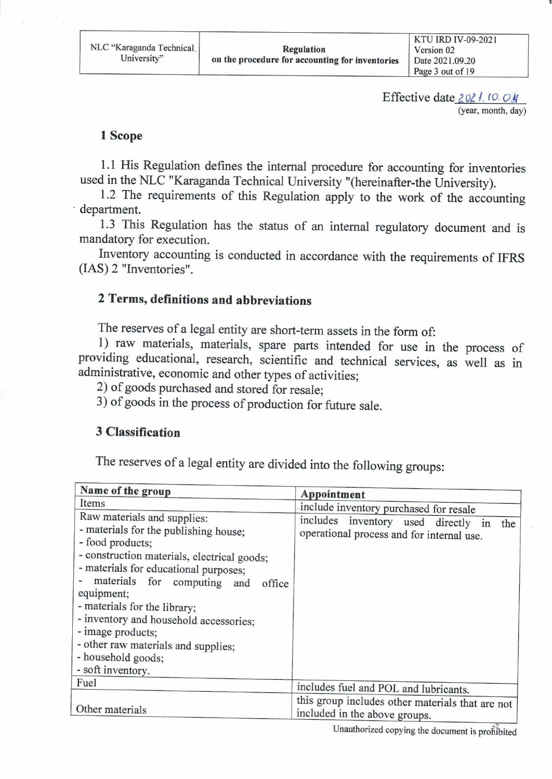Effective date  $2021.10.04$ (year, month, day)

#### 1 Scope

1.1 His Regulation defines the internal procedure for accounting for inventories used in the NLC "Karaganda Technical University "(hereinafter-the University).

1.2 The requirements of this Regulation apply to the work of the accounting department.

1.3 This Regulation has the status of an internal regulatory document and is mandatory for execution.

Inventory accounting is conducted in accordance with the requirements of IFRS (IAS) 2 "Inventories".

#### 2 Terms, definitions and abbreviations

The reserves of a legal entity are short-term assets in the form of:

1) raw materials, materials, spare parts intended for use in the process of providing educational, research, scientific and technical services, as well as in administrative, economic and other types of activities;

2) of goods purchased and stored for resale;

3) of goods in the process of production for future sale.

#### **3 Classification**

The reserves of a legal entity are divided into the following groups:

| Name of the group                                                                                                                                                                                                                                                                                                                                                                                                     | Appointment                                                                          |  |
|-----------------------------------------------------------------------------------------------------------------------------------------------------------------------------------------------------------------------------------------------------------------------------------------------------------------------------------------------------------------------------------------------------------------------|--------------------------------------------------------------------------------------|--|
| Items                                                                                                                                                                                                                                                                                                                                                                                                                 | include inventory purchased for resale                                               |  |
| Raw materials and supplies:<br>- materials for the publishing house;<br>- food products;<br>- construction materials, electrical goods;<br>- materials for educational purposes;<br>materials for computing and office<br>equipment;<br>- materials for the library;<br>- inventory and household accessories;<br>- image products;<br>- other raw materials and supplies;<br>- household goods;<br>- soft inventory. | includes inventory used directly in the<br>operational process and for internal use. |  |
| Fuel                                                                                                                                                                                                                                                                                                                                                                                                                  | includes fuel and POL and lubricants.                                                |  |
| this group includes other materials that are not<br>Other materials<br>included in the above groups.                                                                                                                                                                                                                                                                                                                  |                                                                                      |  |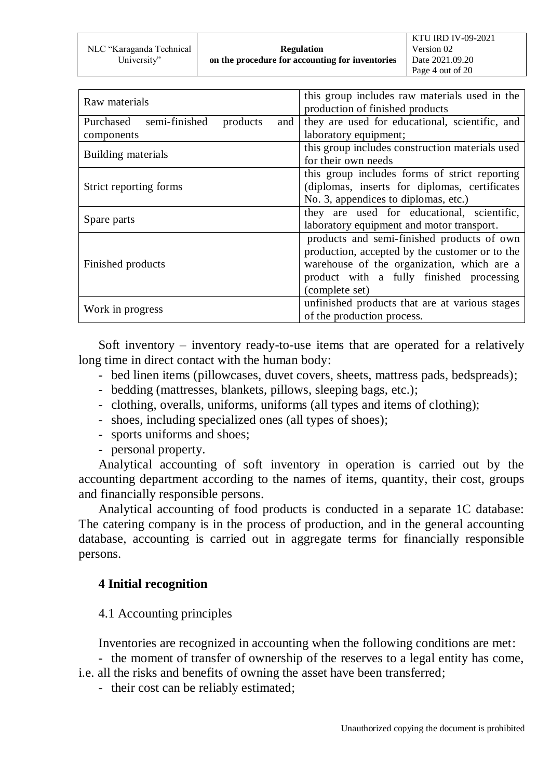|                          |                                                 | KTU IRD IV-09-2021 |
|--------------------------|-------------------------------------------------|--------------------|
| NLC "Karaganda Technical | <b>Regulation</b>                               | Version 02         |
| University"              | on the procedure for accounting for inventories | Date 2021.09.20    |
|                          |                                                 | Page 4 out of 20   |

| Raw materials                              | this group includes raw materials used in the<br>production of finished products |  |
|--------------------------------------------|----------------------------------------------------------------------------------|--|
| Purchased semi-finished<br>products<br>and | they are used for educational, scientific, and                                   |  |
| components                                 | laboratory equipment;                                                            |  |
| Building materials                         | this group includes construction materials used                                  |  |
|                                            | for their own needs                                                              |  |
|                                            | this group includes forms of strict reporting                                    |  |
| Strict reporting forms                     | (diplomas, inserts for diplomas, certificates)                                   |  |
|                                            | No. 3, appendices to diplomas, etc.)                                             |  |
|                                            | they are used for educational, scientific,                                       |  |
| Spare parts                                | laboratory equipment and motor transport.                                        |  |
|                                            | products and semi-finished products of own                                       |  |
|                                            | production, accepted by the customer or to the                                   |  |
| Finished products                          | warehouse of the organization, which are a                                       |  |
|                                            | product with a fully finished processing                                         |  |
|                                            | (complete set)                                                                   |  |
|                                            | unfinished products that are at various stages                                   |  |
| Work in progress                           | of the production process.                                                       |  |

Soft inventory – inventory ready-to-use items that are operated for a relatively long time in direct contact with the human body:

- bed linen items (pillowcases, duvet covers, sheets, mattress pads, bedspreads);
- bedding (mattresses, blankets, pillows, sleeping bags, etc.);
- clothing, overalls, uniforms, uniforms (all types and items of clothing);
- shoes, including specialized ones (all types of shoes);
- sports uniforms and shoes;
- personal property.

Analytical accounting of soft inventory in operation is carried out by the accounting department according to the names of items, quantity, their cost, groups and financially responsible persons.

Analytical accounting of food products is conducted in a separate 1C database: The catering company is in the process of production, and in the general accounting database, accounting is carried out in aggregate terms for financially responsible persons.

### **4 Initial recognition**

4.1 Accounting principles

Inventories are recognized in accounting when the following conditions are met:

- the moment of transfer of ownership of the reserves to a legal entity has come,

- i.e. all the risks and benefits of owning the asset have been transferred;
	- their cost can be reliably estimated;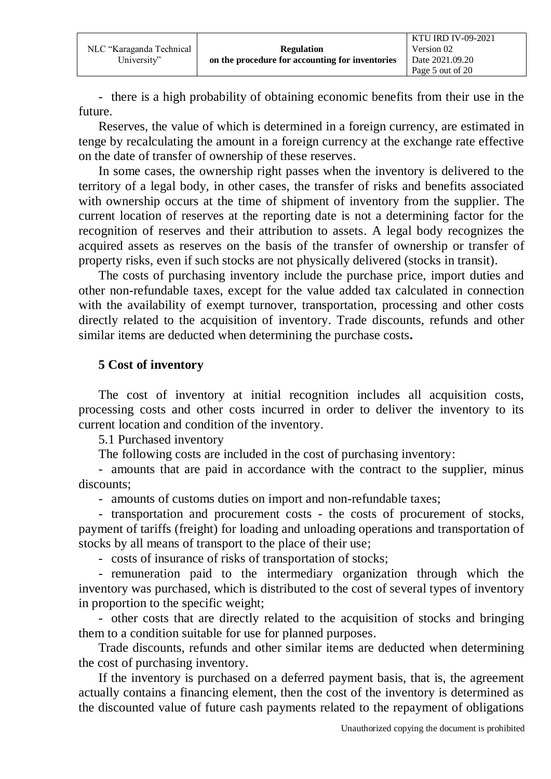- there is a high probability of obtaining economic benefits from their use in the future.

Reserves, the value of which is determined in a foreign currency, are estimated in tenge by recalculating the amount in a foreign currency at the exchange rate effective on the date of transfer of ownership of these reserves.

In some cases, the ownership right passes when the inventory is delivered to the territory of a legal body, in other cases, the transfer of risks and benefits associated with ownership occurs at the time of shipment of inventory from the supplier. The current location of reserves at the reporting date is not a determining factor for the recognition of reserves and their attribution to assets. A legal body recognizes the acquired assets as reserves on the basis of the transfer of ownership or transfer of property risks, even if such stocks are not physically delivered (stocks in transit).

The costs of purchasing inventory include the purchase price, import duties and other non-refundable taxes, except for the value added tax calculated in connection with the availability of exempt turnover, transportation, processing and other costs directly related to the acquisition of inventory. Trade discounts, refunds and other similar items are deducted when determining the purchase costs**.**

### **5 Cost of inventory**

The cost of inventory at initial recognition includes all acquisition costs, processing costs and other costs incurred in order to deliver the inventory to its current location and condition of the inventory.

5.1 Purchased inventory

The following costs are included in the cost of purchasing inventory:

- amounts that are paid in accordance with the contract to the supplier, minus discounts;

- amounts of customs duties on import and non-refundable taxes;

- transportation and procurement costs - the costs of procurement of stocks, payment of tariffs (freight) for loading and unloading operations and transportation of stocks by all means of transport to the place of their use;

- costs of insurance of risks of transportation of stocks;

- remuneration paid to the intermediary organization through which the inventory was purchased, which is distributed to the cost of several types of inventory in proportion to the specific weight;

- other costs that are directly related to the acquisition of stocks and bringing them to a condition suitable for use for planned purposes.

Trade discounts, refunds and other similar items are deducted when determining the cost of purchasing inventory.

If the inventory is purchased on a deferred payment basis, that is, the agreement actually contains a financing element, then the cost of the inventory is determined as the discounted value of future cash payments related to the repayment of obligations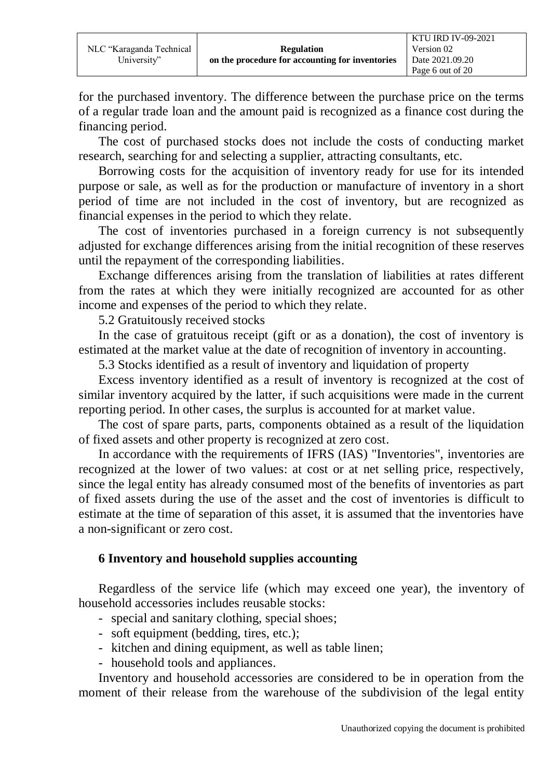for the purchased inventory. The difference between the purchase price on the terms of a regular trade loan and the amount paid is recognized as a finance cost during the financing period.

The cost of purchased stocks does not include the costs of conducting market research, searching for and selecting a supplier, attracting consultants, etc.

Borrowing costs for the acquisition of inventory ready for use for its intended purpose or sale, as well as for the production or manufacture of inventory in a short period of time are not included in the cost of inventory, but are recognized as financial expenses in the period to which they relate.

The cost of inventories purchased in a foreign currency is not subsequently adjusted for exchange differences arising from the initial recognition of these reserves until the repayment of the corresponding liabilities.

Exchange differences arising from the translation of liabilities at rates different from the rates at which they were initially recognized are accounted for as other income and expenses of the period to which they relate.

5.2 Gratuitously received stocks

In the case of gratuitous receipt (gift or as a donation), the cost of inventory is estimated at the market value at the date of recognition of inventory in accounting.

5.3 Stocks identified as a result of inventory and liquidation of property

Excess inventory identified as a result of inventory is recognized at the cost of similar inventory acquired by the latter, if such acquisitions were made in the current reporting period. In other cases, the surplus is accounted for at market value.

The cost of spare parts, parts, components obtained as a result of the liquidation of fixed assets and other property is recognized at zero cost.

In accordance with the requirements of IFRS (IAS) "Inventories", inventories are recognized at the lower of two values: at cost or at net selling price, respectively, since the legal entity has already consumed most of the benefits of inventories as part of fixed assets during the use of the asset and the cost of inventories is difficult to estimate at the time of separation of this asset, it is assumed that the inventories have a non-significant or zero cost.

#### **6 Inventory and household supplies accounting**

Regardless of the service life (which may exceed one year), the inventory of household accessories includes reusable stocks:

- special and sanitary clothing, special shoes;
- soft equipment (bedding, tires, etc.);
- kitchen and dining equipment, as well as table linen;
- household tools and appliances.

Inventory and household accessories are considered to be in operation from the moment of their release from the warehouse of the subdivision of the legal entity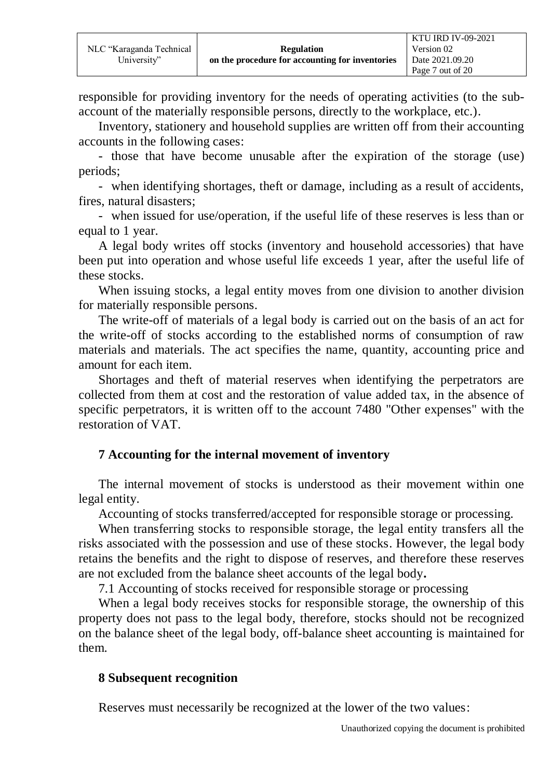responsible for providing inventory for the needs of operating activities (to the subaccount of the materially responsible persons, directly to the workplace, etc.).

Inventory, stationery and household supplies are written off from their accounting accounts in the following cases:

- those that have become unusable after the expiration of the storage (use) periods;

- when identifying shortages, theft or damage, including as a result of accidents, fires, natural disasters;

- when issued for use/operation, if the useful life of these reserves is less than or equal to 1 year.

A legal body writes off stocks (inventory and household accessories) that have been put into operation and whose useful life exceeds 1 year, after the useful life of these stocks.

When issuing stocks, a legal entity moves from one division to another division for materially responsible persons.

The write-off of materials of a legal body is carried out on the basis of an act for the write-off of stocks according to the established norms of consumption of raw materials and materials. The act specifies the name, quantity, accounting price and amount for each item.

Shortages and theft of material reserves when identifying the perpetrators are collected from them at cost and the restoration of value added tax, in the absence of specific perpetrators, it is written off to the account 7480 "Other expenses" with the restoration of VAT.

### **7 Accounting for the internal movement of inventory**

The internal movement of stocks is understood as their movement within one legal entity.

Accounting of stocks transferred/accepted for responsible storage or processing.

When transferring stocks to responsible storage, the legal entity transfers all the risks associated with the possession and use of these stocks. However, the legal body retains the benefits and the right to dispose of reserves, and therefore these reserves are not excluded from the balance sheet accounts of the legal body**.**

7.1 Accounting of stocks received for responsible storage or processing

When a legal body receives stocks for responsible storage, the ownership of this property does not pass to the legal body, therefore, stocks should not be recognized on the balance sheet of the legal body, off-balance sheet accounting is maintained for them.

### **8 Subsequent recognition**

Reserves must necessarily be recognized at the lower of the two values: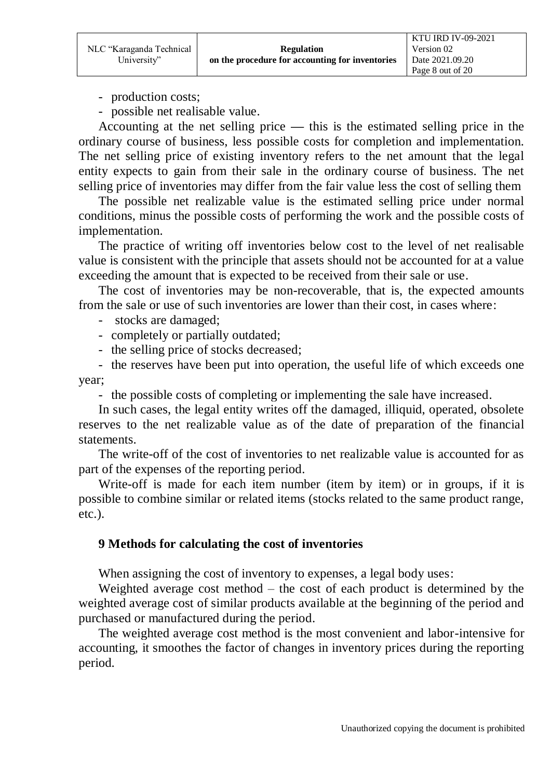- production costs;
- possible net realisable value.

Accounting at the net selling price **—** this is the estimated selling price in the ordinary course of business, less possible costs for completion and implementation. The net selling price of existing inventory refers to the net amount that the legal entity expects to gain from their sale in the ordinary course of business. The net selling price of inventories may differ from the fair value less the cost of selling them

The possible net realizable value is the estimated selling price under normal conditions, minus the possible costs of performing the work and the possible costs of implementation.

The practice of writing off inventories below cost to the level of net realisable value is consistent with the principle that assets should not be accounted for at a value exceeding the amount that is expected to be received from their sale or use.

The cost of inventories may be non-recoverable, that is, the expected amounts from the sale or use of such inventories are lower than their cost, in cases where:

- stocks are damaged;
- completely or partially outdated;
- the selling price of stocks decreased;

- the reserves have been put into operation, the useful life of which exceeds one year;

- the possible costs of completing or implementing the sale have increased.

In such cases, the legal entity writes off the damaged, illiquid, operated, obsolete reserves to the net realizable value as of the date of preparation of the financial statements.

The write-off of the cost of inventories to net realizable value is accounted for as part of the expenses of the reporting period.

Write-off is made for each item number (item by item) or in groups, if it is possible to combine similar or related items (stocks related to the same product range, etc.).

#### **9 Methods for calculating the cost of inventories**

When assigning the cost of inventory to expenses, a legal body uses:

Weighted average cost method – the cost of each product is determined by the weighted average cost of similar products available at the beginning of the period and purchased or manufactured during the period.

The weighted average cost method is the most convenient and labor-intensive for accounting, it smoothes the factor of changes in inventory prices during the reporting period.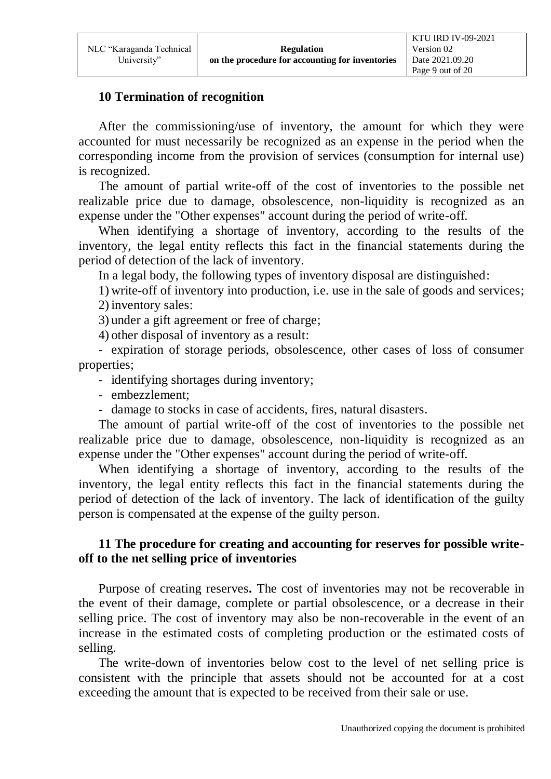### **10 Termination of recognition**

After the commissioning/use of inventory, the amount for which they were accounted for must necessarily be recognized as an expense in the period when the corresponding income from the provision of services (consumption for internal use) is recognized.

The amount of partial write-off of the cost of inventories to the possible net realizable price due to damage, obsolescence, non-liquidity is recognized as an expense under the "Other expenses" account during the period of write-off.

When identifying a shortage of inventory, according to the results of the inventory, the legal entity reflects this fact in the financial statements during the period of detection of the lack of inventory.

In a legal body, the following types of inventory disposal are distinguished:

1) write-off of inventory into production, i.e. use in the sale of goods and services; 2) inventory sales:

3) under a gift agreement or free of charge;

4) other disposal of inventory as a result:

- expiration of storage periods, obsolescence, other cases of loss of consumer properties;

- identifying shortages during inventory;

- embezzlement;

- damage to stocks in case of accidents, fires, natural disasters.

The amount of partial write-off of the cost of inventories to the possible net realizable price due to damage, obsolescence, non-liquidity is recognized as an expense under the "Other expenses" account during the period of write-off.

When identifying a shortage of inventory, according to the results of the inventory, the legal entity reflects this fact in the financial statements during the period of detection of the lack of inventory. The lack of identification of the guilty person is compensated at the expense of the guilty person.

### **11 The procedure for creating and accounting for reserves for possible writeoff to the net selling price of inventories**

Purpose of creating reserves**.** The cost of inventories may not be recoverable in the event of their damage, complete or partial obsolescence, or a decrease in their selling price. The cost of inventory may also be non-recoverable in the event of an increase in the estimated costs of completing production or the estimated costs of selling.

The write-down of inventories below cost to the level of net selling price is consistent with the principle that assets should not be accounted for at a cost exceeding the amount that is expected to be received from their sale or use.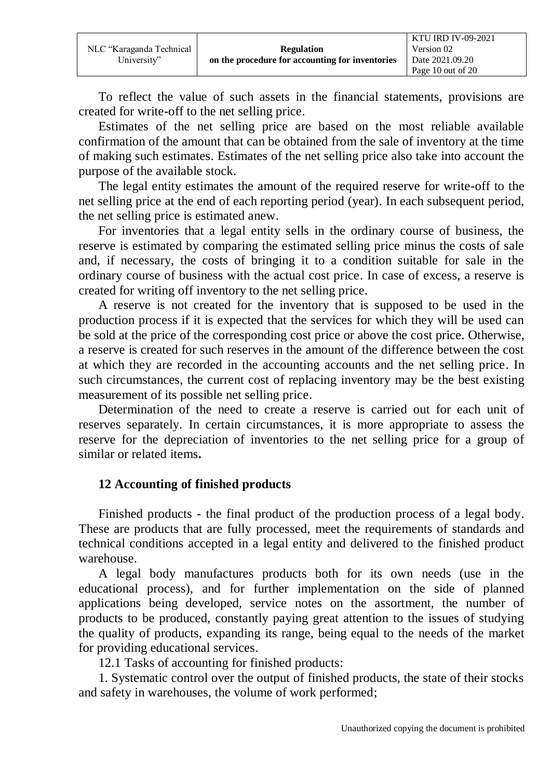To reflect the value of such assets in the financial statements, provisions are created for write-off to the net selling price.

Estimates of the net selling price are based on the most reliable available confirmation of the amount that can be obtained from the sale of inventory at the time of making such estimates. Estimates of the net selling price also take into account the purpose of the available stock.

The legal entity estimates the amount of the required reserve for write-off to the net selling price at the end of each reporting period (year). In each subsequent period, the net selling price is estimated anew.

For inventories that a legal entity sells in the ordinary course of business, the reserve is estimated by comparing the estimated selling price minus the costs of sale and, if necessary, the costs of bringing it to a condition suitable for sale in the ordinary course of business with the actual cost price. In case of excess, a reserve is created for writing off inventory to the net selling price.

A reserve is not created for the inventory that is supposed to be used in the production process if it is expected that the services for which they will be used can be sold at the price of the corresponding cost price or above the cost price. Otherwise, a reserve is created for such reserves in the amount of the difference between the cost at which they are recorded in the accounting accounts and the net selling price. In such circumstances, the current cost of replacing inventory may be the best existing measurement of its possible net selling price.

Determination of the need to create a reserve is carried out for each unit of reserves separately. In certain circumstances, it is more appropriate to assess the reserve for the depreciation of inventories to the net selling price for a group of similar or related items**.**

### **12 Accounting of finished products**

Finished products - the final product of the production process of a legal body. These are products that are fully processed, meet the requirements of standards and technical conditions accepted in a legal entity and delivered to the finished product warehouse.

A legal body manufactures products both for its own needs (use in the educational process), and for further implementation on the side of planned applications being developed, service notes on the assortment, the number of products to be produced, constantly paying great attention to the issues of studying the quality of products, expanding its range, being equal to the needs of the market for providing educational services.

12.1 Tasks of accounting for finished products:

1. Systematic control over the output of finished products, the state of their stocks and safety in warehouses, the volume of work performed;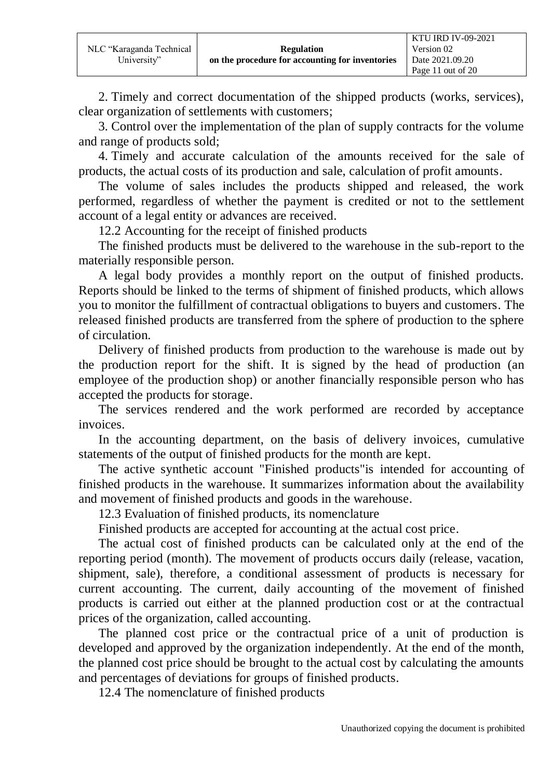2. Timely and correct documentation of the shipped products (works, services), clear organization of settlements with customers;

3. Control over the implementation of the plan of supply contracts for the volume and range of products sold;

4. Timely and accurate calculation of the amounts received for the sale of products, the actual costs of its production and sale, calculation of profit amounts.

The volume of sales includes the products shipped and released, the work performed, regardless of whether the payment is credited or not to the settlement account of a legal entity or advances are received.

12.2 Accounting for the receipt of finished products

The finished products must be delivered to the warehouse in the sub-report to the materially responsible person.

A legal body provides a monthly report on the output of finished products. Reports should be linked to the terms of shipment of finished products, which allows you to monitor the fulfillment of contractual obligations to buyers and customers. The released finished products are transferred from the sphere of production to the sphere of circulation.

Delivery of finished products from production to the warehouse is made out by the production report for the shift. It is signed by the head of production (an employee of the production shop) or another financially responsible person who has accepted the products for storage.

The services rendered and the work performed are recorded by acceptance invoices.

In the accounting department, on the basis of delivery invoices, cumulative statements of the output of finished products for the month are kept.

The active synthetic account "Finished products"is intended for accounting of finished products in the warehouse. It summarizes information about the availability and movement of finished products and goods in the warehouse.

12.3 Evaluation of finished products, its nomenclature

Finished products are accepted for accounting at the actual cost price.

The actual cost of finished products can be calculated only at the end of the reporting period (month). The movement of products occurs daily (release, vacation, shipment, sale), therefore, a conditional assessment of products is necessary for current accounting. The current, daily accounting of the movement of finished products is carried out either at the planned production cost or at the contractual prices of the organization, called accounting.

The planned cost price or the contractual price of a unit of production is developed and approved by the organization independently. At the end of the month, the planned cost price should be brought to the actual cost by calculating the amounts and percentages of deviations for groups of finished products.

12.4 The nomenclature of finished products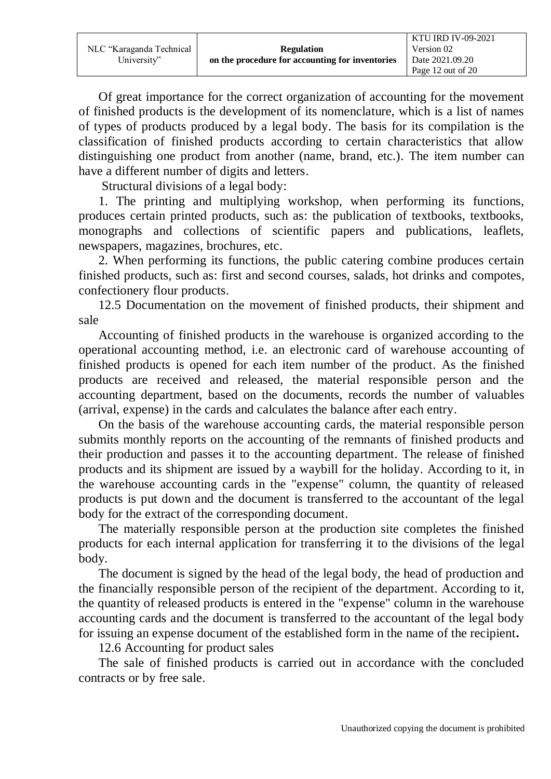|                          |                                                 | <b>KTU IRD IV-09-2021</b> |
|--------------------------|-------------------------------------------------|---------------------------|
| NLC "Karaganda Technical | <b>Regulation</b>                               | Version 02                |
| University"              | on the procedure for accounting for inventories | Date 2021.09.20           |
|                          |                                                 | Page 12 out of 20         |

Of great importance for the correct organization of accounting for the movement of finished products is the development of its nomenclature, which is a list of names of types of products produced by a legal body. The basis for its compilation is the classification of finished products according to certain characteristics that allow distinguishing one product from another (name, brand, etc.). The item number can have a different number of digits and letters.

Structural divisions of a legal body:

1. The printing and multiplying workshop, when performing its functions, produces certain printed products, such as: the publication of textbooks, textbooks, monographs and collections of scientific papers and publications, leaflets, newspapers, magazines, brochures, etc.

2. When performing its functions, the public catering combine produces certain finished products, such as: first and second courses, salads, hot drinks and compotes, confectionery flour products.

12.5 Documentation on the movement of finished products, their shipment and sale

Accounting of finished products in the warehouse is organized according to the operational accounting method, i.e. an electronic card of warehouse accounting of finished products is opened for each item number of the product. As the finished products are received and released, the material responsible person and the accounting department, based on the documents, records the number of valuables (arrival, expense) in the cards and calculates the balance after each entry.

On the basis of the warehouse accounting cards, the material responsible person submits monthly reports on the accounting of the remnants of finished products and their production and passes it to the accounting department. The release of finished products and its shipment are issued by a waybill for the holiday. According to it, in the warehouse accounting cards in the "expense" column, the quantity of released products is put down and the document is transferred to the accountant of the legal body for the extract of the corresponding document.

The materially responsible person at the production site completes the finished products for each internal application for transferring it to the divisions of the legal body.

The document is signed by the head of the legal body, the head of production and the financially responsible person of the recipient of the department. According to it, the quantity of released products is entered in the "expense" column in the warehouse accounting cards and the document is transferred to the accountant of the legal body for issuing an expense document of the established form in the name of the recipient**.**

12.6 Accounting for product sales

The sale of finished products is carried out in accordance with the concluded contracts or by free sale.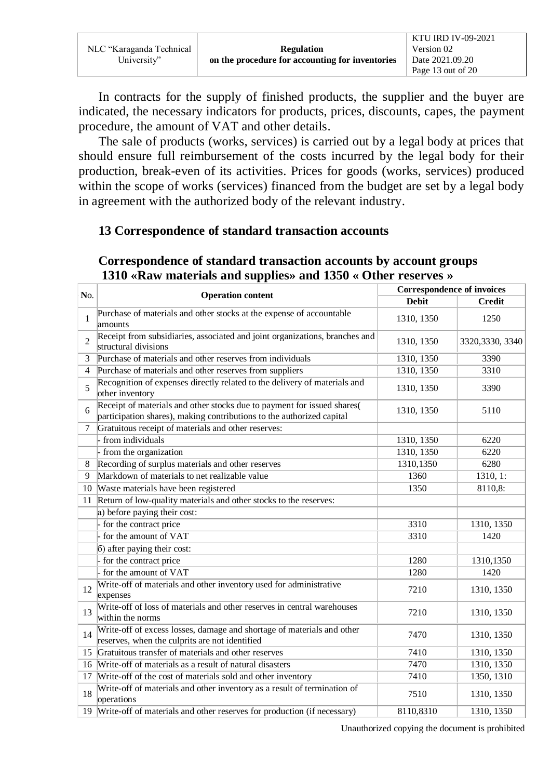|                          |                                                 | <b>KTU IRD IV-09-2021</b> |
|--------------------------|-------------------------------------------------|---------------------------|
| NLC "Karaganda Technical | <b>Regulation</b>                               | Version 02                |
| University"              | on the procedure for accounting for inventories | Date 2021.09.20           |
|                          |                                                 | Page 13 out of 20         |

In contracts for the supply of finished products, the supplier and the buyer are indicated, the necessary indicators for products, prices, discounts, capes, the payment procedure, the amount of VAT and other details.

The sale of products (works, services) is carried out by a legal body at prices that should ensure full reimbursement of the costs incurred by the legal body for their production, break-even of its activities. Prices for goods (works, services) produced within the scope of works (services) financed from the budget are set by a legal body in agreement with the authorized body of the relevant industry.

#### **13 Correspondence of standard transaction accounts**

#### **Correspondence of standard transaction accounts by account groups 1310 «Raw materials and supplies» and 1350 « Other reserves »**

| No.            |                                                                                                                                                  | <b>Correspondence of invoices</b> |                  |
|----------------|--------------------------------------------------------------------------------------------------------------------------------------------------|-----------------------------------|------------------|
|                | <b>Operation content</b>                                                                                                                         | <b>Debit</b>                      | <b>Credit</b>    |
| 1              | Purchase of materials and other stocks at the expense of accountable<br>amounts                                                                  | 1310, 1350                        | 1250             |
| $\overline{2}$ | Receipt from subsidiaries, associated and joint organizations, branches and<br>structural divisions                                              | 1310, 1350                        | 3320, 3330, 3340 |
| 3              | Purchase of materials and other reserves from individuals                                                                                        | 1310, 1350                        | 3390             |
| 4              | Purchase of materials and other reserves from suppliers                                                                                          | 1310, 1350                        | 3310             |
| 5              | Recognition of expenses directly related to the delivery of materials and<br>other inventory                                                     | 1310, 1350                        | 3390             |
| 6              | Receipt of materials and other stocks due to payment for issued shares(<br>participation shares), making contributions to the authorized capital | 1310, 1350                        | 5110             |
| 7              | Gratuitous receipt of materials and other reserves:                                                                                              |                                   |                  |
|                | from individuals                                                                                                                                 | 1310, 1350                        | 6220             |
|                | from the organization                                                                                                                            | 1310, 1350                        | 6220             |
| 8              | Recording of surplus materials and other reserves                                                                                                | 1310,1350                         | 6280             |
| 9              | Markdown of materials to net realizable value                                                                                                    | 1360                              | 1310, 1:         |
| 10             | Waste materials have been registered                                                                                                             | 1350                              | 8110,8:          |
| 11             | Return of low-quality materials and other stocks to the reserves:                                                                                |                                   |                  |
|                | a) before paying their cost:                                                                                                                     |                                   |                  |
|                | for the contract price                                                                                                                           | 3310                              | 1310, 1350       |
|                | for the amount of VAT                                                                                                                            | 3310                              | 1420             |
|                | 6) after paying their cost:                                                                                                                      |                                   |                  |
|                | for the contract price                                                                                                                           | 1280                              | 1310,1350        |
|                | for the amount of VAT                                                                                                                            | 1280                              | 1420             |
| 12             | Write-off of materials and other inventory used for administrative<br>expenses                                                                   | 7210                              | 1310, 1350       |
| 13             | Write-off of loss of materials and other reserves in central warehouses<br>within the norms                                                      | 7210                              | 1310, 1350       |
| 14             | Write-off of excess losses, damage and shortage of materials and other<br>reserves, when the culprits are not identified                         | 7470                              | 1310, 1350       |
| 15             | Gratuitous transfer of materials and other reserves                                                                                              | 7410                              | 1310, 1350       |
| 16             | Write-off of materials as a result of natural disasters                                                                                          | 7470                              | 1310, 1350       |
| 17             | Write-off of the cost of materials sold and other inventory                                                                                      | 7410                              | 1350, 1310       |
| 18             | Write-off of materials and other inventory as a result of termination of<br>operations                                                           | 7510                              | 1310, 1350       |
| 19             | Write-off of materials and other reserves for production (if necessary)                                                                          | 8110,8310                         | 1310, 1350       |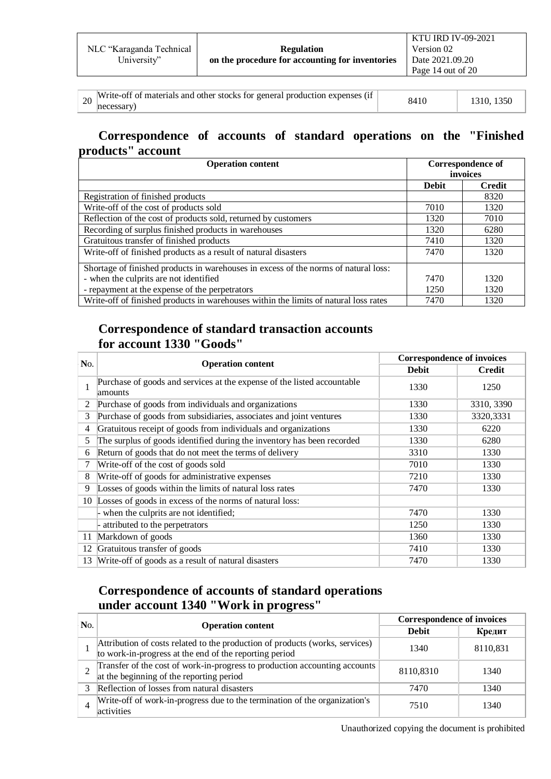|                          |                                                 | <b>KTU IRD IV-09-2021</b> |
|--------------------------|-------------------------------------------------|---------------------------|
| NLC "Karaganda Technical | <b>Regulation</b>                               | Version 02                |
| University"              | on the procedure for accounting for inventories | Date 2021.09.20           |
|                          |                                                 | Page 14 out of 20         |
|                          |                                                 |                           |

| $\sim$ 20 Write-off of materials and other stocks for general production expenses (if | 8410 | 1310, 1350 |
|---------------------------------------------------------------------------------------|------|------------|
| necessary)                                                                            |      |            |

#### **Correspondence of accounts of standard operations on the "Finished products" account**

| <b>Operation content</b>                                                             |              | Correspondence of |  |
|--------------------------------------------------------------------------------------|--------------|-------------------|--|
|                                                                                      |              | invoices          |  |
|                                                                                      | <b>Debit</b> | Credit            |  |
| Registration of finished products                                                    |              | 8320              |  |
| Write-off of the cost of products sold                                               | 7010         | 1320              |  |
| Reflection of the cost of products sold, returned by customers                       | 1320         | 7010              |  |
| Recording of surplus finished products in warehouses                                 | 1320         | 6280              |  |
| Gratuitous transfer of finished products                                             | 7410         | 1320              |  |
| Write-off of finished products as a result of natural disasters                      | 7470         | 1320              |  |
| Shortage of finished products in warehouses in excess of the norms of natural loss:  |              |                   |  |
| - when the culprits are not identified                                               | 7470         | 1320              |  |
| - repayment at the expense of the perpetrators                                       | 1250         | 1320              |  |
| Write-off of finished products in warehouses within the limits of natural loss rates | 7470         | 1320              |  |

#### **Correspondence of standard transaction accounts for account 1330 "Goods"**

| No.            | <b>Operation content</b>                                                           | <b>Correspondence of invoices</b> |               |
|----------------|------------------------------------------------------------------------------------|-----------------------------------|---------------|
|                |                                                                                    | <b>Debit</b>                      | <b>Credit</b> |
| 1              | Purchase of goods and services at the expense of the listed accountable<br>amounts | 1330                              | 1250          |
| 2              | Purchase of goods from individuals and organizations                               | 1330                              | 3310, 3390    |
| 3              | Purchase of goods from subsidiaries, associates and joint ventures                 | 1330                              | 3320,3331     |
| $\overline{4}$ | Gratuitous receipt of goods from individuals and organizations                     | 1330                              | 6220          |
| 5              | The surplus of goods identified during the inventory has been recorded             | 1330                              | 6280          |
| 6              | Return of goods that do not meet the terms of delivery                             | 3310                              | 1330          |
| 7              | Write-off of the cost of goods sold                                                | 7010                              | 1330          |
| 8              | Write-off of goods for administrative expenses                                     | 7210                              | 1330          |
| 9              | Losses of goods within the limits of natural loss rates                            | 7470                              | 1330          |
| 10             | Losses of goods in excess of the norms of natural loss:                            |                                   |               |
|                | when the culprits are not identified;                                              | 7470                              | 1330          |
|                | attributed to the perpetrators                                                     | 1250                              | 1330          |
| 11             | Markdown of goods                                                                  | 1360                              | 1330          |
| 12             | Gratuitous transfer of goods                                                       | 7410                              | 1330          |
| 13             | Write-off of goods as a result of natural disasters                                | 7470                              | 1330          |

## **Correspondence of accounts of standard operations under account 1340 "Work in progress"**

| No. | <b>Operation content</b>                                                                                                               | <b>Correspondence of invoices</b> |          |  |  |
|-----|----------------------------------------------------------------------------------------------------------------------------------------|-----------------------------------|----------|--|--|
|     |                                                                                                                                        | <b>Debit</b>                      | Кредит   |  |  |
|     | Attribution of costs related to the production of products (works, services)<br>to work-in-progress at the end of the reporting period | 1340                              | 8110,831 |  |  |
|     | Transfer of the cost of work-in-progress to production accounting accounts<br>at the beginning of the reporting period                 | 8110,8310                         | 1340     |  |  |
|     | Reflection of losses from natural disasters                                                                                            | 7470                              | 1340     |  |  |
|     | Write-off of work-in-progress due to the termination of the organization's<br>activities                                               | 7510                              | 1340     |  |  |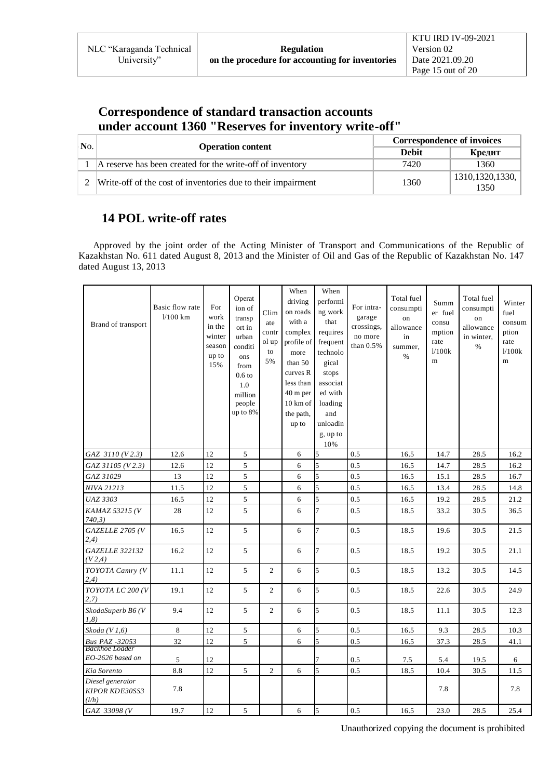### **Correspondence of standard transaction accounts under account 1360 "Reserves for inventory write-off"**

| N <sub>0</sub> | <b>Operation content</b>                                     | <b>Correspondence of invoices</b> |                           |  |  |
|----------------|--------------------------------------------------------------|-----------------------------------|---------------------------|--|--|
|                |                                                              | <b>Debit</b>                      | Кредит                    |  |  |
|                | A reserve has been created for the write-off of inventory    | 7420                              | 1360                      |  |  |
|                | Write-off of the cost of inventories due to their impairment | 1360                              | 1310, 1320, 1330,<br>1350 |  |  |

#### **14 POL write-off rates**

 Approved by the joint order of the Acting Minister of Transport and Communications of the Republic of Kazakhstan No. 611 dated August 8, 2013 and the Minister of Oil and Gas of the Republic of Kazakhstan No. 147 dated August 13, 2013

| Brand of transport                                 | Basic flow rate<br>$1/100$ km | For<br>work<br>in the<br>winter<br>season<br>up to<br>15% | Operat<br>ion of<br>transp<br>ort in<br>urban<br>conditi<br>ons<br>from<br>0.6 <sub>to</sub><br>1.0<br>million<br>people<br>up to 8% | Clim<br>ate<br>contr<br>ol up<br>to<br>5% | When<br>driving<br>on roads<br>with a<br>complex<br>profile of<br>more<br>than $50$<br>curves R<br>less than<br>40 m per<br>10 km of<br>the path,<br>up to | When<br>performi<br>ng work<br>that<br>requires<br>frequent<br>technolo<br>gical<br>stops<br>associat<br>ed with<br>loading<br>and<br>unloadin<br>g, up to<br>10% | For intra-<br>garage<br>crossings,<br>no more<br>than $0.5%$ | Total fuel<br>consumpti<br>on<br>allowance<br>in<br>summer.<br>$\%$ | Summ<br>er fuel<br>consu<br>mption<br>rate<br>1/100k<br>m | Total fuel<br>consumpti<br>on<br>allowance<br>in winter,<br>$\%$ | Winter<br>fuel<br>consum<br>ption<br>rate<br>1/100k<br>m |
|----------------------------------------------------|-------------------------------|-----------------------------------------------------------|--------------------------------------------------------------------------------------------------------------------------------------|-------------------------------------------|------------------------------------------------------------------------------------------------------------------------------------------------------------|-------------------------------------------------------------------------------------------------------------------------------------------------------------------|--------------------------------------------------------------|---------------------------------------------------------------------|-----------------------------------------------------------|------------------------------------------------------------------|----------------------------------------------------------|
| GAZ 3110 (V2.3)                                    | 12.6                          | 12                                                        | 5                                                                                                                                    |                                           | 6                                                                                                                                                          | 5                                                                                                                                                                 | 0.5                                                          | 16.5                                                                | 14.7                                                      | 28.5                                                             | 16.2                                                     |
| GAZ 31105 (V2.3)                                   | 12.6                          | 12                                                        | 5                                                                                                                                    |                                           | 6                                                                                                                                                          | 5                                                                                                                                                                 | 0.5                                                          | 16.5                                                                | 14.7                                                      | 28.5                                                             | 16.2                                                     |
| GAZ 31029                                          | 13                            | 12                                                        | 5                                                                                                                                    |                                           | 6                                                                                                                                                          | 5                                                                                                                                                                 | 0.5                                                          | 16.5                                                                | 15.1                                                      | 28.5                                                             | 16.7                                                     |
| NIVA 21213                                         | 11.5                          | 12                                                        | 5                                                                                                                                    |                                           | 6                                                                                                                                                          | 5                                                                                                                                                                 | 0.5                                                          | 16.5                                                                | 13.4                                                      | 28.5                                                             | 14.8                                                     |
| <b>UAZ 3303</b>                                    | 16.5                          | 12                                                        | 5                                                                                                                                    |                                           | 6                                                                                                                                                          | 5                                                                                                                                                                 | 0.5                                                          | 16.5                                                                | 19.2                                                      | 28.5                                                             | 21.2                                                     |
| KAMAZ 53215 (V<br>740,3)                           | 28                            | 12                                                        | 5                                                                                                                                    |                                           | 6                                                                                                                                                          | 7                                                                                                                                                                 | 0.5                                                          | 18.5                                                                | 33.2                                                      | 30.5                                                             | 36.5                                                     |
| GAZELLE 2705 (V<br>(2,4)                           | 16.5                          | 12                                                        | 5                                                                                                                                    |                                           | 6                                                                                                                                                          | 7                                                                                                                                                                 | 0.5                                                          | 18.5                                                                | 19.6                                                      | 30.5                                                             | 21.5                                                     |
| <b>GAZELLE 322132</b><br>(V2,4)                    | 16.2                          | 12                                                        | 5                                                                                                                                    |                                           | 6                                                                                                                                                          | 7                                                                                                                                                                 | 0.5                                                          | 18.5                                                                | 19.2                                                      | 30.5                                                             | 21.1                                                     |
| TOYOTA Camry (V<br>(2, 4)                          | 11.1                          | 12                                                        | 5                                                                                                                                    | $\overline{c}$                            | 6                                                                                                                                                          | 5                                                                                                                                                                 | 0.5                                                          | 18.5                                                                | 13.2                                                      | 30.5                                                             | 14.5                                                     |
| TOYOTA LC 200 (V<br>2,7)                           | 19.1                          | 12                                                        | 5                                                                                                                                    | $\overline{2}$                            | 6                                                                                                                                                          | 5                                                                                                                                                                 | 0.5                                                          | 18.5                                                                | 22.6                                                      | 30.5                                                             | 24.9                                                     |
| SkodaSuperb B6 (V<br>1,8)                          | 9.4                           | 12                                                        | 5                                                                                                                                    | $\overline{2}$                            | 6                                                                                                                                                          | 5                                                                                                                                                                 | 0.5                                                          | 18.5                                                                | 11.1                                                      | 30.5                                                             | 12.3                                                     |
| Skoda $(V1,6)$                                     | 8                             | 12                                                        | 5                                                                                                                                    |                                           | 6                                                                                                                                                          | 5                                                                                                                                                                 | 0.5                                                          | 16.5                                                                | 9.3                                                       | 28.5                                                             | 10.3                                                     |
| <b>Bus PAZ -32053</b>                              | 32                            | 12                                                        | 5                                                                                                                                    |                                           | 6                                                                                                                                                          | 5                                                                                                                                                                 | 0.5                                                          | 16.5                                                                | 37.3                                                      | 28.5                                                             | 41.1                                                     |
| Backhoe Loader<br>EO-2626 based on                 | $\sqrt{5}$                    | 12                                                        |                                                                                                                                      |                                           |                                                                                                                                                            |                                                                                                                                                                   | $0.5\,$                                                      | 7.5                                                                 | 5.4                                                       | 19.5                                                             | 6                                                        |
| Kia Sorento                                        | 8.8                           | 12                                                        | 5                                                                                                                                    | $\overline{2}$                            | 6                                                                                                                                                          | 5                                                                                                                                                                 | 0.5                                                          | 18.5                                                                | 10.4                                                      | 30.5                                                             | 11.5                                                     |
| Diesel generator<br><b>KIPOR KDE30SS3</b><br>(l/h) | 7.8                           |                                                           |                                                                                                                                      |                                           |                                                                                                                                                            |                                                                                                                                                                   |                                                              |                                                                     | 7.8                                                       |                                                                  | 7.8                                                      |
| GAZ 33098 (V                                       | 19.7                          | 12                                                        | 5                                                                                                                                    |                                           | 6                                                                                                                                                          | 5                                                                                                                                                                 | 0.5                                                          | 16.5                                                                | 23.0                                                      | 28.5                                                             | 25.4                                                     |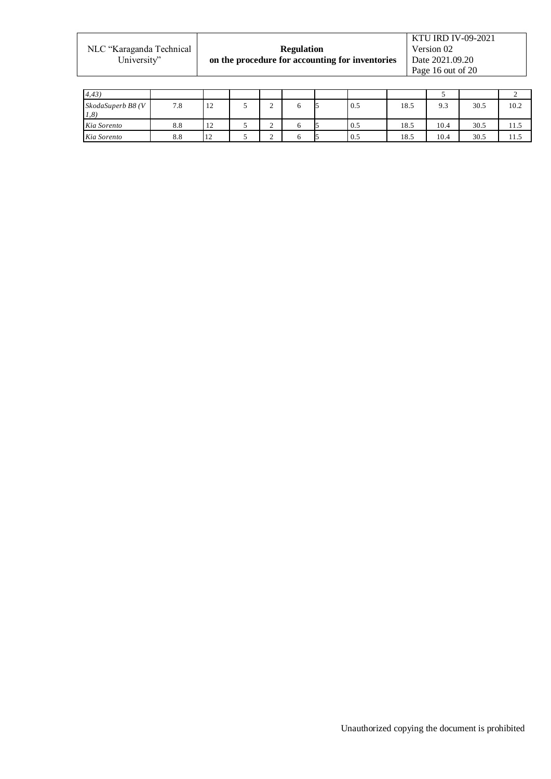|                          |                                                 | <b>KTU IRD IV-09-2021</b> |
|--------------------------|-------------------------------------------------|---------------------------|
| NLC "Karaganda Technical | <b>Regulation</b>                               | Version 02                |
| University"              | on the procedure for accounting for inventories | Date 2021.09.20           |
|                          |                                                 | Page 16 out of 20         |

| 4,43)                      |     |                              |   |  |     |      |      |      |      |
|----------------------------|-----|------------------------------|---|--|-----|------|------|------|------|
| SkodaSuperb B8 (V<br>(1,8) | 7.8 | $1^{\circ}$<br>$\frac{1}{2}$ | ∼ |  | 0.5 | 18.5 | 9.3  | 30.5 | 10.2 |
| Kia Sorento                | 8.8 | 12                           | ∼ |  | 0.5 | 18.5 | 10.4 | 30.5 | 11.5 |
| Kia Sorento                | 8.8 | $\overline{1}$<br>$\perp$    | ∸ |  | 0.5 | 18.5 | 10.4 | 30.5 | 11.5 |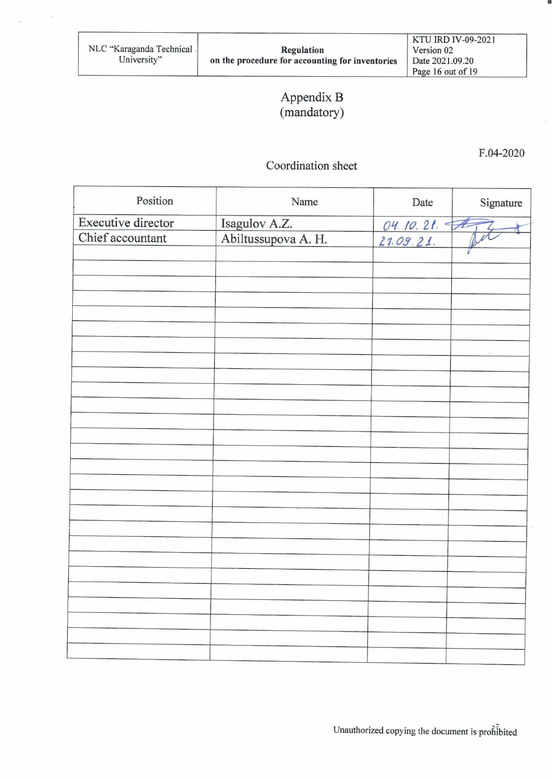### Appendix B (mandatory)

 $F.04 - 2020$ 

#### Coordination sheet

| Position           | Name                | Date        | Signature |
|--------------------|---------------------|-------------|-----------|
| Executive director | Isagulov A.Z.       |             |           |
| Chief accountant   | Abiltussupova A. H. | 04.10.21.74 |           |
|                    |                     |             |           |
|                    |                     |             |           |
|                    |                     |             |           |
|                    |                     |             |           |
|                    |                     |             |           |
|                    |                     |             |           |
|                    |                     |             |           |
|                    |                     |             |           |
|                    |                     |             |           |
|                    |                     |             |           |
|                    |                     |             |           |
|                    |                     |             |           |
|                    |                     |             |           |
|                    |                     |             |           |
|                    |                     |             |           |
|                    |                     |             |           |
|                    |                     |             |           |
|                    |                     |             |           |
|                    |                     |             |           |
|                    |                     |             |           |
|                    |                     |             |           |
|                    |                     |             |           |
|                    |                     |             |           |
|                    |                     |             |           |
|                    |                     |             |           |
|                    |                     |             |           |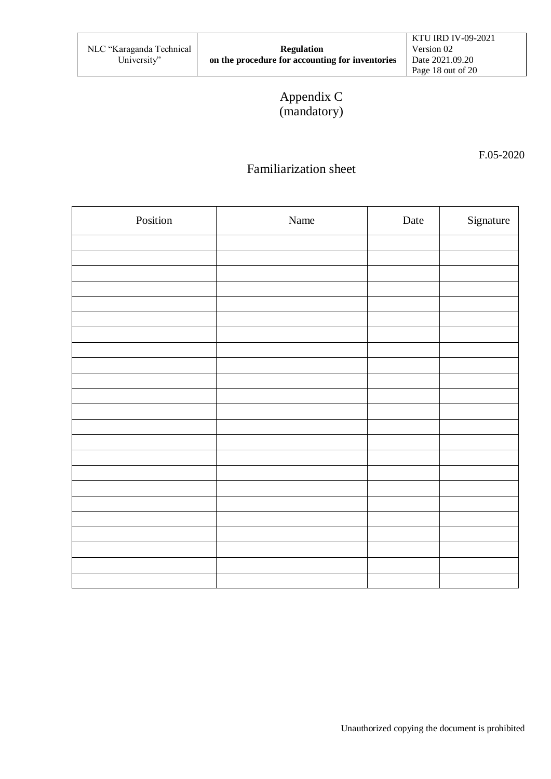# Appendix C (mandatory)

F.05-2020

### Familiarization sheet

| Position | Name | Date | Signature |
|----------|------|------|-----------|
|          |      |      |           |
|          |      |      |           |
|          |      |      |           |
|          |      |      |           |
|          |      |      |           |
|          |      |      |           |
|          |      |      |           |
|          |      |      |           |
|          |      |      |           |
|          |      |      |           |
|          |      |      |           |
|          |      |      |           |
|          |      |      |           |
|          |      |      |           |
|          |      |      |           |
|          |      |      |           |
|          |      |      |           |
|          |      |      |           |
|          |      |      |           |
|          |      |      |           |
|          |      |      |           |
|          |      |      |           |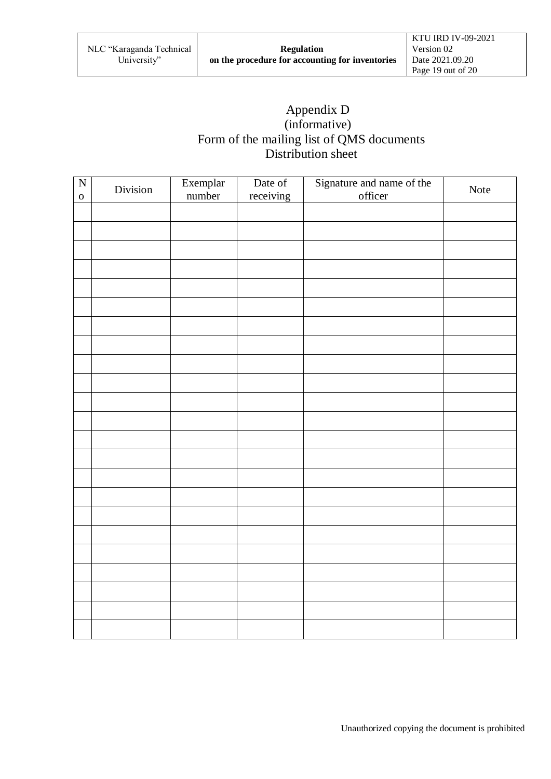### Appendix D (informative) Form of the mailing list of QMS documents Distribution sheet

| $\overline{N}$<br>$\mathbf 0$ | Division | Exemplar<br>number | Date of<br>receiving | Signature and name of the officer | Note |
|-------------------------------|----------|--------------------|----------------------|-----------------------------------|------|
|                               |          |                    |                      |                                   |      |
|                               |          |                    |                      |                                   |      |
|                               |          |                    |                      |                                   |      |
|                               |          |                    |                      |                                   |      |
|                               |          |                    |                      |                                   |      |
|                               |          |                    |                      |                                   |      |
|                               |          |                    |                      |                                   |      |
|                               |          |                    |                      |                                   |      |
|                               |          |                    |                      |                                   |      |
|                               |          |                    |                      |                                   |      |
|                               |          |                    |                      |                                   |      |
|                               |          |                    |                      |                                   |      |
|                               |          |                    |                      |                                   |      |
|                               |          |                    |                      |                                   |      |
|                               |          |                    |                      |                                   |      |
|                               |          |                    |                      |                                   |      |
|                               |          |                    |                      |                                   |      |
|                               |          |                    |                      |                                   |      |
|                               |          |                    |                      |                                   |      |
|                               |          |                    |                      |                                   |      |
|                               |          |                    |                      |                                   |      |
|                               |          |                    |                      |                                   |      |
|                               |          |                    |                      |                                   |      |